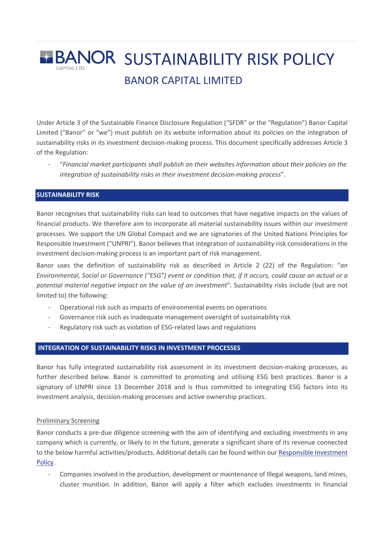# **BANOR SUSTAINABILITY RISK POLICY** BANOR CAPITAL LIMITED

Under Article 3 of the Sustainable Finance Disclosure Regulation ("SFDR" or the "Regulation") Banor Capital Limited ("Banor" or "we") must publish on its website information about its policies on the integration of sustainability risks in its investment decision-making process. This document specifically addresses Article 3 of the Regulation:

- "*Financial market participants shall publish on their websites information about their policies on the integration of sustainability risks in their investment decision-making process*".

# **SUSTAINABILITY RISK**

Banor recognises that sustainability risks can lead to outcomes that have negative impacts on the values of financial products. We therefore aim to incorporate all material sustainability issues within our investment processes. We support the UN Global Compact and we are signatories of the United Nations Principles for Responsible Investment ("UNPRI"). Banor believes that integration of sustainability risk considerations in the investment decision-making process is an important part of risk management.

Banor uses the definition of sustainability risk as described in Article 2 (22) of the Regulation: "*an Environmental, Social or Governance ("ESG") event or condition that, if it occurs, could cause an actual or a potential material negative impact on the value of an investment*". Sustainability risks include (but are not limited to) the following:

- Operational risk such as impacts of environmental events on operations
- Governance risk such as inadequate management oversight of sustainability risk
- Regulatory risk such as violation of ESG-related laws and regulations

### **INTEGRATION OF SUSTAINABILITY RISKS IN INVESTMENT PROCESSES**

Banor has fully integrated sustainability risk assessment in its investment decision-making processes, as further described below. Banor is committed to promoting and utilising ESG best practices. Banor is a signatory of UNPRI since 13 December 2018 and is thus committed to integrating ESG factors into its investment analysis, decision-making processes and active ownership practices.

#### Preliminary Screening

Banor conducts a pre-due diligence screening with the aim of identifying and excluding investments in any company which is currently, or likely to in the future, generate a significant share of its revenue connected to the below harmful activities/products. Additional details can be found within our Responsible Investment Policy.

Companies involved in the production, development or maintenance of Illegal weapons, land mines, cluster munition. In addition, Banor will apply a filter which excludes investments in financial